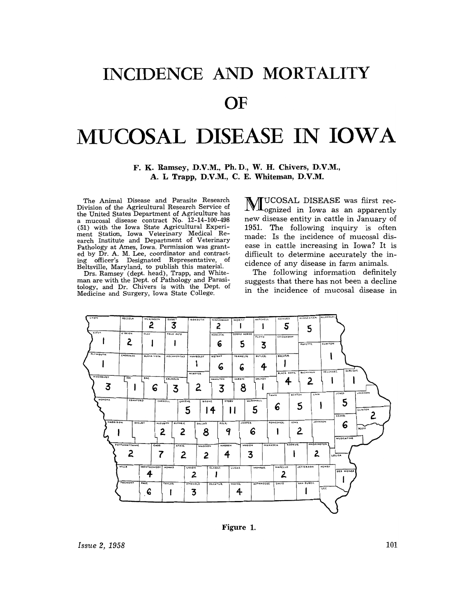## INCIDENCE AND MORTALITY

## OF

## MUCOSAL DISEASE IN IOWA

F. K. Ramsey, D.V.M., Ph.D., W. H. Chivers, D.V.M., A. L. Trapp, D.V.M., C. E. Whiteman, D.V.M.

The Animal Disease and Parasite Research Division of the Agricultural Research Service of the United States Department of Agriculture has a mucosal disease contract No. 12-14-100-498 (51) with the Iowa State Agricultural Experiment Station, Iowa Veterinary Medical Re-<br>earch Institute and Department of Veterinary Pathology at Ames, Iowa. Permission was grantrationally at times, ional contract-<br>ing officer's Designated Representative, of<br>Beltsville, Maryland, to publish this material.

Drs. Ramsey (dept. head), Trapp, and Whiteman are with the Dept. of Pathology and Parasitology, and Dr. Chivers is with the Dept. of Medicine and Surgery, Iowa State College.

MUCOSAL DISEASE was fiirst rec-<br>Mognized in Iowa as an apparently new disease entity in cattle in January of 1951. The following inquiry is often made: Is the incidence of mucosal disease in cattle increasing in Iowa? It is difficult to determine accurately the incidence of any disease in farm animals.

The following information definitely suggests that there has not been a decline in the incidence of mucosal disease in



Figure 1.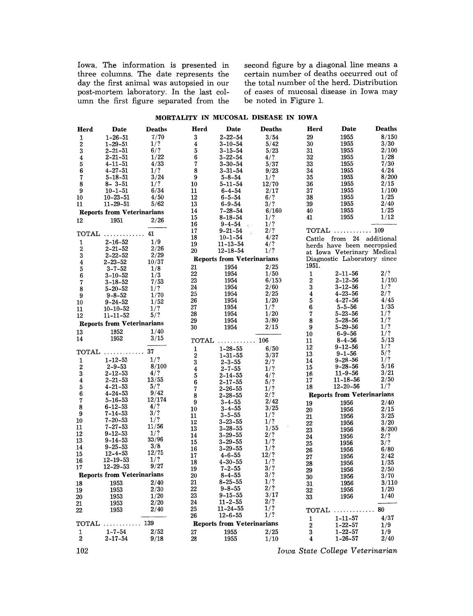Iowa. The information is presented in second figure by a diagonal line means a three columns. The date represents the certain number of deaths occurred out of day the first animal was autopsied in our post-mortem laboratory. In the last column the first figure separated from the

the total number of deaths occurred out of<br>the total number of the herd. Distribution of cases of mucosal disease in Iowa may<br>be noted in Figure 1.

## MORTALITY IN MUCOSAL DISEASE IN IOWA

| Herd                              | Date                              | <b>Deaths</b> | Herd                    | Date                              | <b>Deaths</b> | Herd  | Date                                    | <b>Deaths</b> |
|-----------------------------------|-----------------------------------|---------------|-------------------------|-----------------------------------|---------------|-------|-----------------------------------------|---------------|
| 1                                 | $1 - 26 - 51$                     | 7/70          | 3                       | 2-22-54                           | 3/54          | 29    | 1955                                    | 8/150         |
| 2                                 | $1 - 29 - 51$                     | 1/?           | $\overline{\mathbf{4}}$ | $3 - 10 - 54$                     | 5/42          | 30    | 1955                                    | 3/30          |
| 3                                 | $2 - 21 - 51$                     | 6/?           | 5                       | $3 - 15 - 54$                     | 5/23          | 31    | 1955                                    | 2/100         |
| 4                                 | $2 - 21 - 51$                     | 1/22          | $\bf 6$                 | $3 - 22 - 54$                     | 4/?           | 32    | 1955                                    | 1/28          |
| 5                                 | $4 - 11 - 51$                     | 4/33          | $\overline{7}$          | $3 - 30 - 54$                     | 5/37          | 33    | 1955                                    | 7/30          |
| 6                                 | $4 - 27 - 51$                     | 1/?           | 8                       | $3 - 31 - 54$                     | 9/23          | 34    | 1955                                    | 4/24          |
| 7                                 | $5 - 18 - 51$                     | 3/24          | 9                       | $5 - 8 - 54$                      | 1/?           | 35    | 1955                                    | 8/200         |
| 8                                 | $8 - 3 - 51$                      | 1/?           | 10                      | 5-11-54                           | 12/70         | 36    | 1955                                    | 2/15          |
| 9                                 | $10 - 1 - 51$                     | 6/34          | 11                      | $6 - 4 - 54$                      | 2/17          | 37    | 1955                                    | 1/100         |
| 10                                | $10 - 23 - 51$                    | 4/50          | 12                      | $6 - 5 - 54$                      | 6/?           | 38    | 1955                                    | 1/25          |
| 11                                | $11 - 29 - 51$                    | 5/62          | 13                      | $6 - 9 - 54$                      | 3/?           | 39    | 1955                                    | 2/40          |
| <b>Reports from Veterinarians</b> |                                   |               | 14                      | $7 - 28 - 54$                     | 6/160         | 40    | 1955                                    | 1/25          |
| 12                                | 1951                              | 2/26          | 15                      | $8 - 18 - 54$                     | 1/?           | 41    | 1955                                    | 1/12          |
|                                   |                                   |               | 16                      | $9 - 4 - 54$<br>$\zeta_{\rm c}$ . | 1/?           |       |                                         |               |
|                                   | $\mathbf{TOTAL}$                  | 41            | 17                      | $9 - 21 - 54$                     | 2/?           |       | TOTAL $\ldots \ldots \ldots \ldots 109$ |               |
| 1                                 | $2 - 16 - 52$                     | 1/9           | 18                      | $10 - 1 - 54$                     | 4/27          |       | Cattle from 24 additional               |               |
| 2                                 | $2 - 21 - 52$                     | 2/26          | 19                      | $11 - 13 - 54$                    | 4/?           |       | herds have been necropsied              |               |
| 3                                 | $2 - 22 - 52$                     | 2/29          | 20                      | $12 - 18 - 54$                    | 1/?           |       | at Iowa Veterinary Medical              |               |
| 4                                 | $2 - 23 - 52$                     | 10/37         |                         | <b>Reports from Veterinarians</b> |               |       | Diagnostic Laboratory since             |               |
| 5                                 | $3 - 7 - 52$                      | 1/8           | 21                      | 1954                              | 2/25          | 1951. |                                         |               |
| 6                                 | $3 - 10 - 52$                     | 1/3           | 22                      | 1954                              | 1/50          | 1     | $2 - 11 - 56$                           | 2/?           |
| 7                                 | $3 - 18 - 52$                     | 7/53          | 23                      | 1954                              | 6/150         | 2     | $2 - 12 - 56$                           | 1/100         |
| 8                                 | $5 - 20 - 52$                     | 1/?           | 24                      | 1954                              | 2/60          | 3     | $3 - 12 - 56$                           | 1/?           |
| 9                                 | $9 - 8 - 52$                      | 1/70          | 25                      | 1954                              | 2/25          | 4     | $4 - 23 - 56$                           | 2/?           |
| 10                                | $9 - 24 - 52$                     | 1/52          | 26                      | 1954                              | 1/20          | 5     | $4 - 27 - 56$                           | 4/45          |
| 11                                | $10 - 10 - 52$                    | 1/?           | 27                      | 1954                              | 1/?           | 6     | $5 - 5 - 56$                            | 1/35          |
| 12                                | $11 - 11 - 52$                    | 5/?           | 28                      | 1954                              | 1/20          | 7     | $5 - 23 - 56$                           | 1/?           |
|                                   | <b>Reports from Veterinarians</b> |               | 29                      | 1954                              | 3/80          | 8     | $5 - 28 - 56$                           | 1/?           |
|                                   |                                   |               | 30                      | 1954                              | 2/15          | 9     | $5 - 29 - 56$                           | 1/?           |
| 13                                | 1952                              | 1/40          |                         |                                   |               | 10    | $6 - 9 - 56$                            | 1/?           |
| 14                                | 1952                              | 3/15          |                         | $\mathbf{TOTAL}$                  | 106           | 11    | $8 - 4 - 56$                            | 5/13          |
|                                   |                                   | 37            | 1                       | $1 - 28 - 55$                     | 6/50          | 12    | $9 - 12 - 56$                           | 1/?           |
|                                   | TOTAL                             |               | $\bf 2$                 | $1 - 31 - 55$                     | 3/37          | 13    | $9 - 1 - 56$                            | 5/?           |
| 1                                 | $1 - 12 - 53$                     | 1/?           | $\bf{3}$                | $2 - 3 - 55$                      | 2/?           | 14    | $9 - 28 - 56$                           | 1/?           |
| 2                                 | $2 - 9 - 53$                      | 8/100         | $\bf{4}$                | $2 - 7 - 55$                      | 1/?           | 15    | $9 - 28 - 56$                           | 5/16          |
| 3                                 | $2 - 12 - 53$                     | 4/?           | 5                       | $2 - 14 - 55$                     | 4/            | 16    | $11 - 9 - 56$                           | 3/21          |
| 4                                 | $2 - 21 - 53$                     | 13/55         | $\bf 6$                 | $2 - 17 - 55$                     | 5/?           | 17    | $11 - 18 - 56$                          | 2/50          |
| 5                                 | $4 - 21 - 53$                     | 5/?<br>9/42   | $\overline{7}$          | $2 - 26 - 55$                     | 1/?           | 18    | $12 - 20 - 56$                          | 1/?           |
| 6                                 | $4 - 24 - 53$                     | 12/174        | 8                       | $2 - 28 - 55$                     | 2/ ?          |       | <b>Reports from Veterinarians</b>       |               |
| 7                                 | $5 - 16 - 53$<br>6–12–53          | 4/?           | 9                       | $3 - 4 - 55$                      | 2/42          | 19    | 1956                                    | 2/40          |
| 8<br>9                            | $7 - 14 - 53$                     | 3/?           | 10                      | $3 - 4 - 55$                      | 3/25          | 20    | 1956                                    | 2/15          |
| 10                                | $7 - 20 - 53$                     | 1/?           | 11                      | $3 - 5 - 55$                      | 1/?           | 21    | 1956                                    | 3/25          |
| 11                                | $7 - 27 - 53$                     | 11/56         | 12                      | $3 - 23 - 55$                     | 1/?           | 22    | 1956                                    | 3/20          |
| 12                                | $9 - 12 - 53$                     | 1/?           | 13                      | $3 - 28 - 55$                     | 1/55          | 23    | 1956                                    | 8/200         |
| 13                                | $9 - 14 - 53$                     | 33/96         | 14                      | $3 - 29 - 55$                     | 2/?           | 24    | 1956                                    | 2/?           |
| 14                                | $9 - 25 - 53$                     | 3/8           | 15                      | $3 - 29 - 55$                     | 1/?           | 25    | 1956                                    | 3/?           |
| 15                                | $12 - 4 - 53$                     | 12/75         | 16                      | $3 - 29 - 55$                     | 1/?           | 26    | 1956                                    | 6/80          |
| 16                                | $12 - 19 - 53$                    | 1/?           | 17                      | $4 - 6 - 55$                      | 12/?<br>1/?   | 27    | 1956                                    | 2/42          |
| 17                                | $12 - 29 - 53$                    | 9/27          | 18                      | 4-30-55                           | 3/?           | 28    | 1956                                    | 1/35          |
|                                   | <b>Reports from Veterinarians</b> |               | 19                      | $7 - 2 - 55$<br>$8 - 4 - 55$      | 3/?           | 29    | 1956                                    | 2/50          |
|                                   |                                   |               | 20<br>21                | $8 - 25 - 55$                     | 1/?           | 30    | 1956                                    | 3/70          |
| 18                                | 1953                              | 2/40          |                         | $9 - 8 - 55$                      | 2/?           | 31    | 1956                                    | 3/110         |
| 19                                | 1953                              | 2/30          | 22<br>23                | $9 - 15 - 55$                     | 3/17          | 32    | 1956                                    | 1/20          |
| 20                                | 1953                              | 1/20<br>2/20  | 24                      | $11 - 2 - 55$                     | 2/?           | 33    | 1956                                    | 1/40          |
| 21                                | 1953                              | 2/40          | 25                      | $11 - 24 - 55$                    | 1/?           |       |                                         | 80            |
| 22                                | 1953                              |               | 26                      | $12 - 6 - 55$                     | 1/?           | TOTAL |                                         |               |
|                                   |                                   | 139           |                         |                                   |               | 1     | $1 - 11 - 57$                           | 4/37          |
| TOTAL                             |                                   |               |                         | <b>Reports from Veterinarians</b> |               | 2     | $1 - 22 - 57$                           | 1/9           |
| 1                                 | $1 - 7 - 54$                      | 2/52          | 27                      | 1955                              | 2/25          | 3     | $1 - 22 - 57$                           | 1/9           |
| $\mathbf 2$                       | $2 - 17 - 54$                     | 9/18          | 28                      | 1955                              | 1/10          | 4     | $1 - 26 - 57$                           | 2/40          |

102 *Iowa State College Veterinarian*